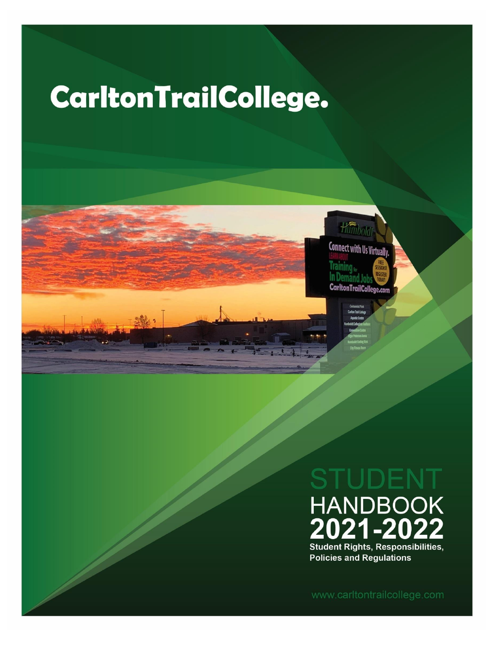# **CarltonTrailCollege.**



UDE **HANDBOOK**<br>**2021-2022 Student Rights, Responsibilities, Policies and Regulations** 

www.carltontrailcollege.com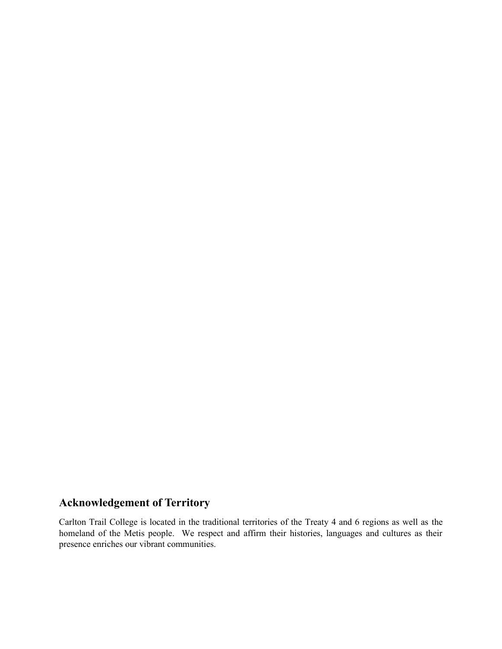# **Acknowledgement of Territory**

Carlton Trail College is located in the traditional territories of the Treaty 4 and 6 regions as well as the homeland of the Metis people. We respect and affirm their histories, languages and cultures as their presence enriches our vibrant communities.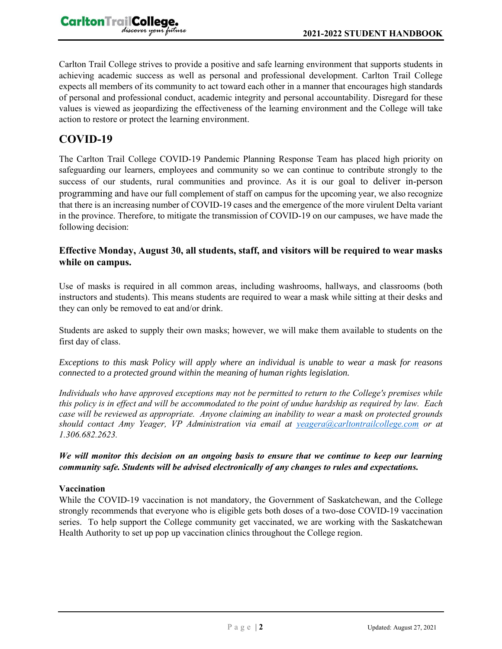

Carlton Trail College strives to provide a positive and safe learning environment that supports students in achieving academic success as well as personal and professional development. Carlton Trail College expects all members of its community to act toward each other in a manner that encourages high standards of personal and professional conduct, academic integrity and personal accountability. Disregard for these values is viewed as jeopardizing the effectiveness of the learning environment and the College will take action to restore or protect the learning environment.

## **COVID-19**

The Carlton Trail College COVID-19 Pandemic Planning Response Team has placed high priority on safeguarding our learners, employees and community so we can continue to contribute strongly to the success of our students, rural communities and province. As it is our goal to deliver in-person programming and have our full complement of staff on campus for the upcoming year, we also recognize that there is an increasing number of COVID-19 cases and the emergence of the more virulent Delta variant in the province. Therefore, to mitigate the transmission of COVID-19 on our campuses, we have made the following decision:

#### **Effective Monday, August 30, all students, staff, and visitors will be required to wear masks while on campus.**

Use of masks is required in all common areas, including washrooms, hallways, and classrooms (both instructors and students). This means students are required to wear a mask while sitting at their desks and they can only be removed to eat and/or drink.

Students are asked to supply their own masks; however, we will make them available to students on the first day of class.

*Exceptions to this mask Policy will apply where an individual is unable to wear a mask for reasons connected to a protected ground within the meaning of human rights legislation.*

*Individuals who have approved exceptions may not be permitted to return to the College's premises while this policy is in effect and will be accommodated to the point of undue hardship as required by law. Each case will be reviewed as appropriate. Anyone claiming an inability to wear a mask on protected grounds should contact Amy Yeager, VP Administration via email at [yeagera@carltontrailcollege.com](mailto:yeagera@carltontrailcollege.com) or at 1.306.682.2623.*

*We will monitor this decision on an ongoing basis to ensure that we continue to keep our learning community safe. Students will be advised electronically of any changes to rules and expectations.*

#### **Vaccination**

While the COVID-19 vaccination is not mandatory, the Government of Saskatchewan, and the College strongly recommends that everyone who is eligible gets both doses of a two-dose COVID-19 vaccination series. To help support the College community get vaccinated, we are working with the Saskatchewan Health Authority to set up pop up vaccination clinics throughout the College region.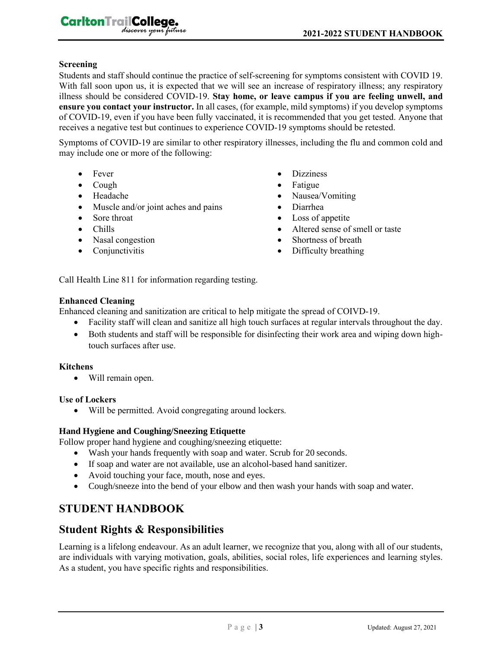#### **Screening**

Students and staff should continue the practice of self-screening for symptoms consistent with COVID 19. With fall soon upon us, it is expected that we will see an increase of respiratory illness; any respiratory illness should be considered COVID-19. **Stay home, or leave campus if you are feeling unwell, and ensure you contact your instructor.** In all cases, (for example, mild symptoms) if you develop symptoms of COVID-19, even if you have been fully vaccinated, it is recommended that you get tested. Anyone that receives a negative test but continues to experience COVID-19 symptoms should be retested.

Symptoms of COVID-19 are similar to other respiratory illnesses, including the flu and common cold and may include one or more of the following:

- Fever
- Cough
- Headache
- Muscle and/or joint aches and pains
- Sore throat
- Chills
- Nasal congestion

CarltonTrailCollege.

discover your future

• Conjunctivitis

- Dizziness
- Fatigue
- Nausea/Vomiting
- Diarrhea
- Loss of appetite
- Altered sense of smell or taste
- Shortness of breath
- Difficulty breathing

Call Health Line 811 for information regarding testing.

#### **Enhanced Cleaning**

Enhanced cleaning and sanitization are critical to help mitigate the spread of COIVD-19.

- Facility staff will clean and sanitize all high touch surfaces at regular intervals throughout the day.
- Both students and staff will be responsible for disinfecting their work area and wiping down hightouch surfaces after use.

#### **Kitchens**

• Will remain open.

#### **Use of Lockers**

• Will be permitted. Avoid congregating around lockers.

#### **Hand Hygiene and Coughing/Sneezing Etiquette**

Follow proper hand hygiene and coughing/sneezing etiquette:

- Wash your hands frequently with soap and water. Scrub for 20 seconds.
- If soap and water are not available, use an alcohol-based hand sanitizer.
- Avoid touching your face, mouth, nose and eyes.
- Cough/sneeze into the bend of your elbow and then wash your hands with soap and water.

## **STUDENT HANDBOOK**

#### **Student Rights & Responsibilities**

Learning is a lifelong endeavour. As an adult learner, we recognize that you, along with all of our students, are individuals with varying motivation, goals, abilities, social roles, life experiences and learning styles. As a student, you have specific rights and responsibilities.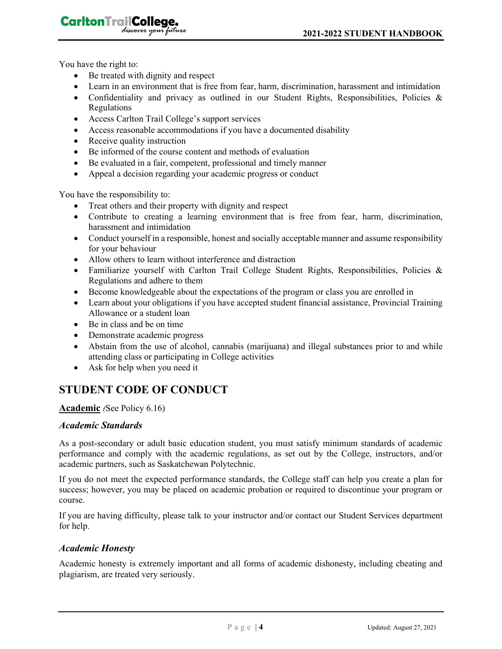You have the right to:

CarltonTrailCollege,

• Be treated with dignity and respect

discover your future

- Learn in an environment that is free from fear, harm, discrimination, harassment and intimidation
- Confidentiality and privacy as outlined in our Student Rights, Responsibilities, Policies & Regulations
- Access Carlton Trail College's support services
- Access reasonable accommodations if you have a documented disability
- Receive quality instruction
- Be informed of the course content and methods of evaluation
- Be evaluated in a fair, competent, professional and timely manner
- Appeal a decision regarding your academic progress or conduct

You have the responsibility to:

- Treat others and their property with dignity and respect
- Contribute to creating a learning environment that is free from fear, harm, discrimination, harassment and intimidation
- Conduct yourself in a responsible, honest and socially acceptable manner and assume responsibility for your behaviour
- Allow others to learn without interference and distraction
- Familiarize yourself with Carlton Trail College Student Rights, Responsibilities, Policies & Regulations and adhere to them
- Become knowledgeable about the expectations of the program or class you are enrolled in
- Learn about your obligations if you have accepted student financial assistance, Provincial Training Allowance or a student loan
- Be in class and be on time
- Demonstrate academic progress
- Abstain from the use of alcohol, cannabis (marijuana) and illegal substances prior to and while attending class or participating in College activities
- Ask for help when you need it

# **STUDENT CODE OF CONDUCT**

#### **Academic** *(*See Policy 6.16)

#### *Academic Standards*

As a post-secondary or adult basic education student, you must satisfy minimum standards of academic performance and comply with the academic regulations, as set out by the College, instructors, and/or academic partners, such as Saskatchewan Polytechnic.

If you do not meet the expected performance standards, the College staff can help you create a plan for success; however, you may be placed on academic probation or required to discontinue your program or course.

If you are having difficulty, please talk to your instructor and/or contact our Student Services department for help.

#### *Academic Honesty*

Academic honesty is extremely important and all forms of academic dishonesty, including cheating and plagiarism, are treated very seriously.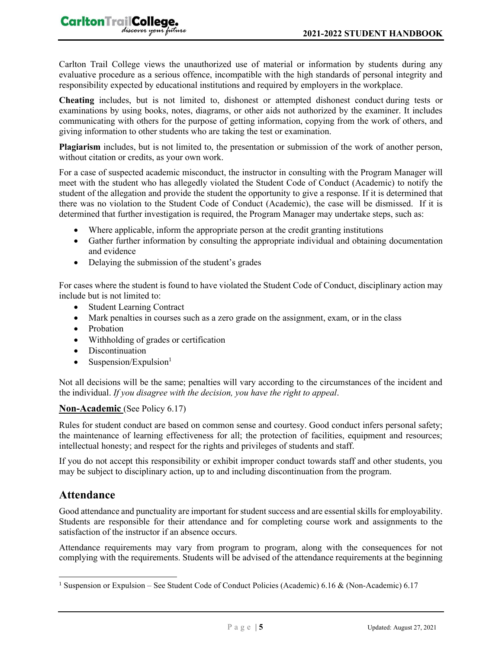Carlton Trail College views the unauthorized use of material or information by students during any evaluative procedure as a serious offence, incompatible with the high standards of personal integrity and responsibility expected by educational institutions and required by employers in the workplace.

**Cheating** includes, but is not limited to, dishonest or attempted dishonest conduct during tests or examinations by using books, notes, diagrams, or other aids not authorized by the examiner. It includes communicating with others for the purpose of getting information, copying from the work of others, and giving information to other students who are taking the test or examination.

**Plagiarism** includes, but is not limited to, the presentation or submission of the work of another person, without citation or credits, as your own work.

For a case of suspected academic misconduct, the instructor in consulting with the Program Manager will meet with the student who has allegedly violated the Student Code of Conduct (Academic) to notify the student of the allegation and provide the student the opportunity to give a response. If it is determined that there was no violation to the Student Code of Conduct (Academic), the case will be dismissed. If it is determined that further investigation is required, the Program Manager may undertake steps, such as:

- Where applicable, inform the appropriate person at the credit granting institutions
- Gather further information by consulting the appropriate individual and obtaining documentation and evidence
- Delaying the submission of the student's grades

For cases where the student is found to have violated the Student Code of Conduct, disciplinary action may include but is not limited to:

- Student Learning Contract
- Mark penalties in courses such as a zero grade on the assignment, exam, or in the class
- Probation
- Withholding of grades or certification
- Discontinuation
- Suspension/Expulsion $<sup>1</sup>$ </sup>

Not all decisions will be the same; penalties will vary according to the circumstances of the incident and the individual. *If you disagree with the decision, you have the right to appeal*.

#### **Non-Academic** (See Policy 6.17)

Rules for student conduct are based on common sense and courtesy. Good conduct infers personal safety; the maintenance of learning effectiveness for all; the protection of facilities, equipment and resources; intellectual honesty; and respect for the rights and privileges of students and staff.

If you do not accept this responsibility or exhibit improper conduct towards staff and other students, you may be subject to disciplinary action, up to and including discontinuation from the program.

## **Attendance**

Good attendance and punctuality are important for student success and are essential skills for employability. Students are responsible for their attendance and for completing course work and assignments to the satisfaction of the instructor if an absence occurs.

Attendance requirements may vary from program to program, along with the consequences for not complying with the requirements. Students will be advised of the attendance requirements at the beginning

<sup>1</sup> Suspension or Expulsion – See Student Code of Conduct Policies (Academic) 6.16 & (Non-Academic) 6.17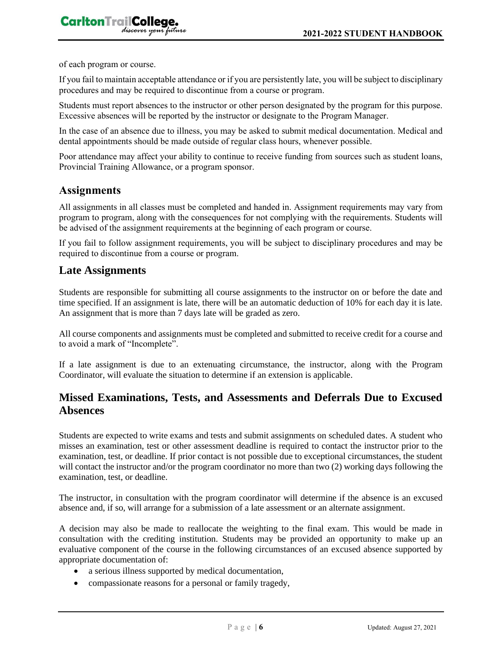of each program or course.

If you fail to maintain acceptable attendance or if you are persistently late, you will be subject to disciplinary procedures and may be required to discontinue from a course or program.

Students must report absences to the instructor or other person designated by the program for this purpose. Excessive absences will be reported by the instructor or designate to the Program Manager.

In the case of an absence due to illness, you may be asked to submit medical documentation. Medical and dental appointments should be made outside of regular class hours, whenever possible.

Poor attendance may affect your ability to continue to receive funding from sources such as student loans, Provincial Training Allowance, or a program sponsor.

#### **Assignments**

All assignments in all classes must be completed and handed in. Assignment requirements may vary from program to program, along with the consequences for not complying with the requirements. Students will be advised of the assignment requirements at the beginning of each program or course.

If you fail to follow assignment requirements, you will be subject to disciplinary procedures and may be required to discontinue from a course or program.

#### **Late Assignments**

Students are responsible for submitting all course assignments to the instructor on or before the date and time specified. If an assignment is late, there will be an automatic deduction of 10% for each day it is late. An assignment that is more than 7 days late will be graded as zero.

All course components and assignments must be completed and submitted to receive credit for a course and to avoid a mark of "Incomplete".

If a late assignment is due to an extenuating circumstance, the instructor, along with the Program Coordinator, will evaluate the situation to determine if an extension is applicable.

## **Missed Examinations, Tests, and Assessments and Deferrals Due to Excused Absences**

Students are expected to write exams and tests and submit assignments on scheduled dates. A student who misses an examination, test or other assessment deadline is required to contact the instructor prior to the examination, test, or deadline. If prior contact is not possible due to exceptional circumstances, the student will contact the instructor and/or the program coordinator no more than two (2) working days following the examination, test, or deadline.

The instructor, in consultation with the program coordinator will determine if the absence is an excused absence and, if so, will arrange for a submission of a late assessment or an alternate assignment.

A decision may also be made to reallocate the weighting to the final exam. This would be made in consultation with the crediting institution. Students may be provided an opportunity to make up an evaluative component of the course in the following circumstances of an excused absence supported by appropriate documentation of:

- a serious illness supported by medical documentation,
- compassionate reasons for a personal or family tragedy,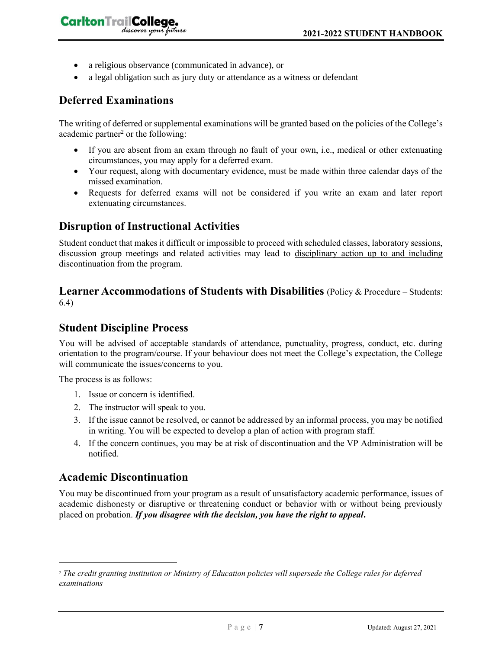• a religious observance (communicated in advance), or

discover your future

• a legal obligation such as jury duty or attendance as a witness or defendant

## **Deferred Examinations**

CarltonTrailCollege,

The writing of deferred or supplemental examinations will be granted based on the policies of the College's academic partner<sup>2</sup> or the following:

- If you are absent from an exam through no fault of your own, i.e., medical or other extenuating circumstances, you may apply for a deferred exam.
- Your request, along with documentary evidence, must be made within three calendar days of the missed examination.
- Requests for deferred exams will not be considered if you write an exam and later report extenuating circumstances.

## **Disruption of Instructional Activities**

Student conduct that makes it difficult or impossible to proceed with scheduled classes, laboratory sessions, discussion group meetings and related activities may lead to disciplinary action up to and including discontinuation from the program.

#### **Learner Accommodations of Students with Disabilities** (Policy & Procedure – Students: 6.4)

## **Student Discipline Process**

You will be advised of acceptable standards of attendance, punctuality, progress, conduct, etc. during orientation to the program/course. If your behaviour does not meet the College's expectation, the College will communicate the issues/concerns to you.

The process is as follows:

- 1. Issue or concern is identified.
- 2. The instructor will speak to you.
- 3. If the issue cannot be resolved, or cannot be addressed by an informal process, you may be notified in writing. You will be expected to develop a plan of action with program staff.
- 4. If the concern continues, you may be at risk of discontinuation and the VP Administration will be notified.

## **Academic Discontinuation**

You may be discontinued from your program as a result of unsatisfactory academic performance, issues of academic dishonesty or disruptive or threatening conduct or behavior with or without being previously placed on probation. *If you disagree with the decision, you have the right to appeal***.** 

<sup>2</sup> *The credit granting institution or Ministry of Education policies will supersede the College rules for deferred examinations*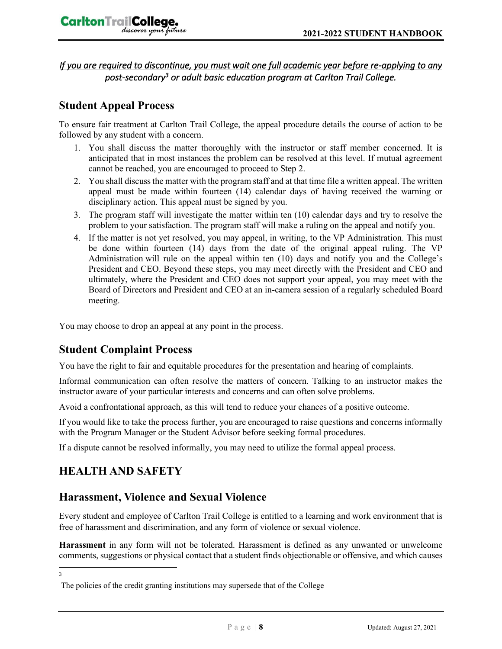*If you are required to discontinue, you must wait one full academic year before re-applying to any post-secondary<sup>3</sup> or adult basic education program at Carlton Trail College.* 

# **Student Appeal Process**

To ensure fair treatment at Carlton Trail College, the appeal procedure details the course of action to be followed by any student with a concern.

- 1. You shall discuss the matter thoroughly with the instructor or staff member concerned. It is anticipated that in most instances the problem can be resolved at this level. If mutual agreement cannot be reached, you are encouraged to proceed to Step 2.
- 2. You shall discuss the matter with the program staff and at that time file a written appeal. The written appeal must be made within fourteen (14) calendar days of having received the warning or disciplinary action. This appeal must be signed by you.
- 3. The program staff will investigate the matter within ten (10) calendar days and try to resolve the problem to your satisfaction. The program staff will make a ruling on the appeal and notify you.
- 4. If the matter is not yet resolved, you may appeal, in writing, to the VP Administration. This must be done within fourteen (14) days from the date of the original appeal ruling. The VP Administration will rule on the appeal within ten (10) days and notify you and the College's President and CEO. Beyond these steps, you may meet directly with the President and CEO and ultimately, where the President and CEO does not support your appeal, you may meet with the Board of Directors and President and CEO at an in-camera session of a regularly scheduled Board meeting.

You may choose to drop an appeal at any point in the process.

## **Student Complaint Process**

You have the right to fair and equitable procedures for the presentation and hearing of complaints.

Informal communication can often resolve the matters of concern. Talking to an instructor makes the instructor aware of your particular interests and concerns and can often solve problems.

Avoid a confrontational approach, as this will tend to reduce your chances of a positive outcome.

If you would like to take the process further, you are encouraged to raise questions and concerns informally with the Program Manager or the Student Advisor before seeking formal procedures.

If a dispute cannot be resolved informally, you may need to utilize the formal appeal process.

# **HEALTH AND SAFETY**

## **Harassment, Violence and Sexual Violence**

Every student and employee of Carlton Trail College is entitled to a learning and work environment that is free of harassment and discrimination, and any form of violence or sexual violence.

**Harassment** in any form will not be tolerated. Harassment is defined as any unwanted or unwelcome comments, suggestions or physical contact that a student finds objectionable or offensive, and which causes

3

The policies of the credit granting institutions may supersede that of the College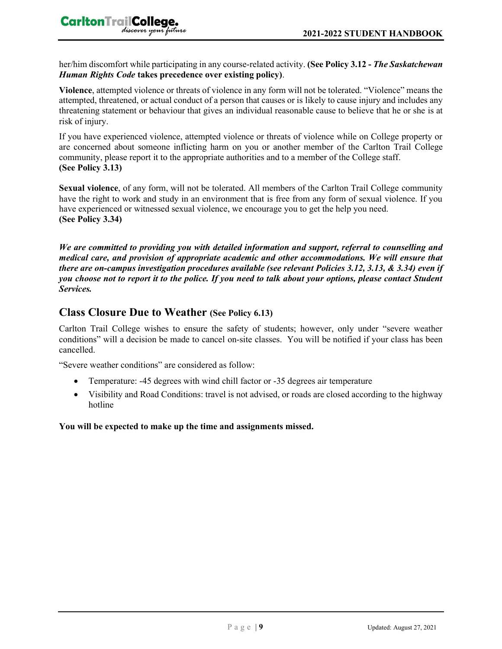her/him discomfort while participating in any course-related activity. **(See Policy 3.12 -** *The Saskatchewan Human Rights Code* **takes precedence over existing policy)**.

**Violence**, attempted violence or threats of violence in any form will not be tolerated. "Violence" means the attempted, threatened, or actual conduct of a person that causes or is likely to cause injury and includes any threatening statement or behaviour that gives an individual reasonable cause to believe that he or she is at risk of injury.

If you have experienced violence, attempted violence or threats of violence while on College property or are concerned about someone inflicting harm on you or another member of the Carlton Trail College community, please report it to the appropriate authorities and to a member of the College staff. **(See Policy 3.13)**

**Sexual violence**, of any form, will not be tolerated. All members of the Carlton Trail College community have the right to work and study in an environment that is free from any form of sexual violence. If you have experienced or witnessed sexual violence, we encourage you to get the help you need. **(See Policy 3.34)**

*We are committed to providing you with detailed information and support, referral to counselling and medical care, and provision of appropriate academic and other accommodations. We will ensure that there are on-campus investigation procedures available (see relevant Policies 3.12, 3.13, & 3.34) even if you choose not to report it to the police. If you need to talk about your options, please contact Student Services.*

## **Class Closure Due to Weather (See Policy 6.13)**

Carlton Trail College wishes to ensure the safety of students; however, only under "severe weather conditions" will a decision be made to cancel on-site classes. You will be notified if your class has been cancelled.

"Severe weather conditions" are considered as follow:

- Temperature: -45 degrees with wind chill factor or -35 degrees air temperature
- Visibility and Road Conditions: travel is not advised, or roads are closed according to the highway hotline

#### **You will be expected to make up the time and assignments missed.**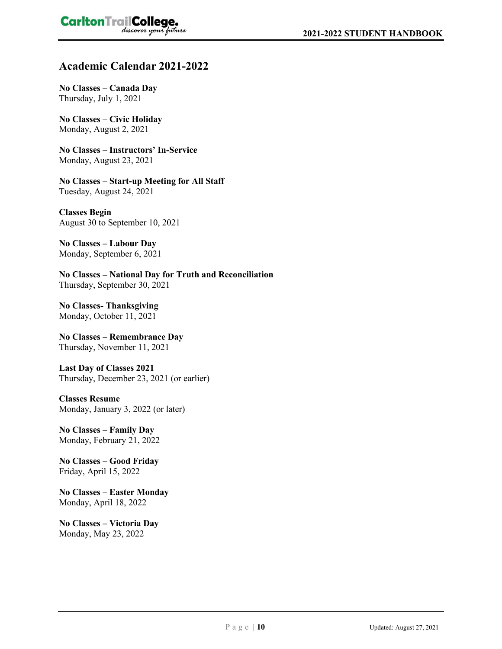#### **Academic Calendar 2021-2022**

**No Classes – Canada Day** Thursday, July 1, 2021

**No Classes – Civic Holiday** Monday, August 2, 2021

**No Classes – Instructors' In-Service** Monday, August 23, 2021

**No Classes – Start-up Meeting for All Staff** Tuesday, August 24, 2021

**Classes Begin** August 30 to September 10, 2021

**No Classes – Labour Day** Monday, September 6, 2021

**No Classes – National Day for Truth and Reconciliation**  Thursday, September 30, 2021

**No Classes- Thanksgiving** Monday, October 11, 2021

**No Classes – Remembrance Day** Thursday, November 11, 2021

**Last Day of Classes 2021** Thursday, December 23, 2021 (or earlier)

**Classes Resume** Monday, January 3, 2022 (or later)

**No Classes – Family Day** Monday, February 21, 2022

**No Classes – Good Friday** Friday, April 15, 2022

**No Classes – Easter Monday** Monday, April 18, 2022

**No Classes – Victoria Day** Monday, May 23, 2022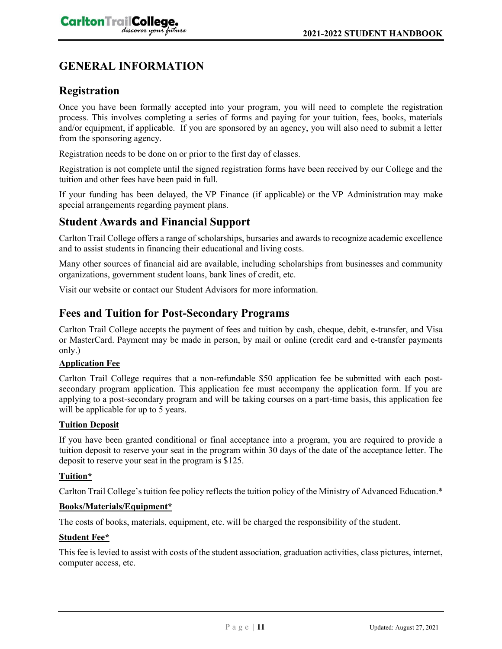# **GENERAL INFORMATION**

## **Registration**

Once you have been formally accepted into your program, you will need to complete the registration process. This involves completing a series of forms and paying for your tuition, fees, books, materials and/or equipment, if applicable. If you are sponsored by an agency, you will also need to submit a letter from the sponsoring agency.

Registration needs to be done on or prior to the first day of classes.

Registration is not complete until the signed registration forms have been received by our College and the tuition and other fees have been paid in full.

If your funding has been delayed, the VP Finance (if applicable) or the VP Administration may make special arrangements regarding payment plans.

## **Student Awards and Financial Support**

Carlton Trail College offers a range of scholarships, bursaries and awards to recognize academic excellence and to assist students in financing their educational and living costs.

Many other sources of financial aid are available, including scholarships from businesses and community organizations, government student loans, bank lines of credit, etc.

Visit our website or contact our Student Advisors for more information.

## **Fees and Tuition for Post-Secondary Programs**

Carlton Trail College accepts the payment of fees and tuition by cash, cheque, debit, e-transfer, and Visa or MasterCard. Payment may be made in person, by mail or online (credit card and e-transfer payments only.)

#### **Application Fee**

Carlton Trail College requires that a non-refundable \$50 application fee be submitted with each postsecondary program application. This application fee must accompany the application form. If you are applying to a post-secondary program and will be taking courses on a part-time basis, this application fee will be applicable for up to 5 years.

#### **Tuition Deposit**

If you have been granted conditional or final acceptance into a program, you are required to provide a tuition deposit to reserve your seat in the program within 30 days of the date of the acceptance letter. The deposit to reserve your seat in the program is \$125.

#### **Tuition\***

Carlton Trail College's tuition fee policy reflects the tuition policy of the Ministry of Advanced Education.\*

#### **Books/Materials/Equipment\***

The costs of books, materials, equipment, etc. will be charged the responsibility of the student.

#### **Student Fee\***

This fee is levied to assist with costs of the student association, graduation activities, class pictures, internet, computer access, etc.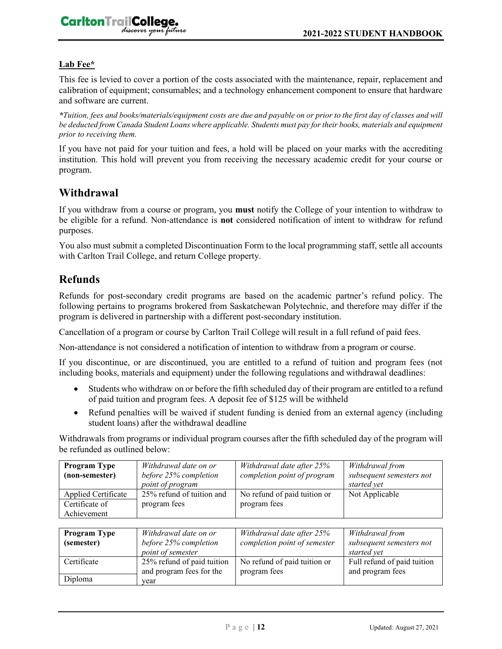#### **Lab Fee\***

This fee is levied to cover a portion of the costs associated with the maintenance, repair, replacement and calibration of equipment; consumables; and a technology enhancement component to ensure that hardware and software are current.

*\*Tuition, fees and books/materials/equipment costs are due and payable on or prior to the first day of classes and will be deducted from Canada Student Loans where applicable. Students must pay for their books, materials and equipment prior to receiving them.*

If you have not paid for your tuition and fees, a hold will be placed on your marks with the accrediting institution. This hold will prevent you from receiving the necessary academic credit for your course or program.

#### **Withdrawal**

If you withdraw from a course or program, you **must** notify the College of your intention to withdraw to be eligible for a refund. Non-attendance is **not** considered notification of intent to withdraw for refund purposes.

You also must submit a completed Discontinuation Form to the local programming staff, settle all accounts with Carlton Trail College, and return College property.

#### **Refunds**

Refunds for post-secondary credit programs are based on the academic partner's refund policy. The following pertains to programs brokered from Saskatchewan Polytechnic, and therefore may differ if the program is delivered in partnership with a different post-secondary institution.

Cancellation of a program or course by Carlton Trail College will result in a full refund of paid fees.

Non-attendance is not considered a notification of intention to withdraw from a program or course.

If you discontinue, or are discontinued, you are entitled to a refund of tuition and program fees (not including books, materials and equipment) under the following regulations and withdrawal deadlines:

- Students who withdraw on or before the fifth scheduled day of their program are entitled to a refund of paid tuition and program fees. A deposit fee of \$125 will be withheld
- Refund penalties will be waived if student funding is denied from an external agency (including student loans) after the withdrawal deadline

Withdrawals from programs or individual program courses after the fifth scheduled day of the program will be refunded as outlined below:

| <b>Program Type</b> | Withdrawal date on or     | Withdrawal date after 25%    | Withdrawal from          |
|---------------------|---------------------------|------------------------------|--------------------------|
| (non-semester)      | before 25% completion     | completion point of program  | subsequent semesters not |
|                     | point of program          |                              | started vet              |
| Applied Certificate | 25% refund of tuition and | No refund of paid tuition or | Not Applicable           |
| Certificate of      | program fees              | program fees                 |                          |
| Achievement         |                           |                              |                          |

| <b>Program Type</b><br>(semester) | Withdrawal date on or<br>before 25% completion<br>point of semester | Withdrawal date after 25%<br>completion point of semester | Withdrawal from<br>subsequent semesters not<br>started vet |
|-----------------------------------|---------------------------------------------------------------------|-----------------------------------------------------------|------------------------------------------------------------|
| Certificate                       | 25% refund of paid tuition<br>and program fees for the              | No refund of paid tuition or<br>program fees              | Full refund of paid tuition<br>and program fees            |
| Diploma                           | year                                                                |                                                           |                                                            |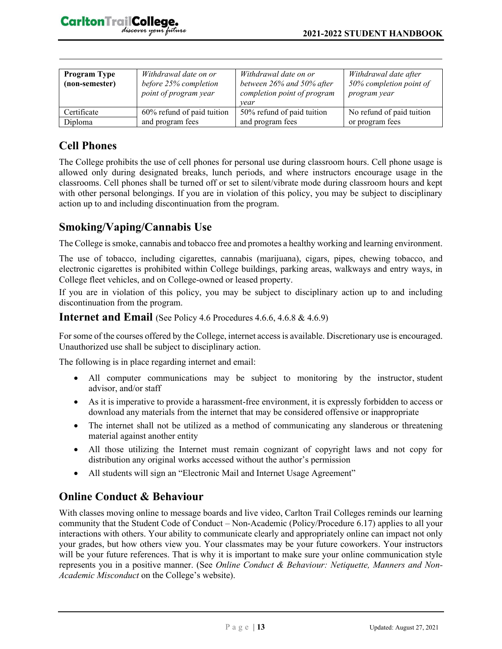| <b>Program Type</b><br>(non-semester) | Withdrawal date on or<br>before 25% completion<br>point of program year | Withdrawal date on or<br>between 26% and 50% after<br>completion point of program<br>vear | Withdrawal date after<br>50% completion point of<br>program year |
|---------------------------------------|-------------------------------------------------------------------------|-------------------------------------------------------------------------------------------|------------------------------------------------------------------|
| Certificate                           | 60% refund of paid tuition                                              | 50% refund of paid tuition                                                                | No refund of paid tuition                                        |
| Diploma                               | and program fees                                                        | and program fees                                                                          | or program fees                                                  |

# **Cell Phones**

The College prohibits the use of cell phones for personal use during classroom hours. Cell phone usage is allowed only during designated breaks, lunch periods, and where instructors encourage usage in the classrooms. Cell phones shall be turned off or set to silent/vibrate mode during classroom hours and kept with other personal belongings. If you are in violation of this policy, you may be subject to disciplinary action up to and including discontinuation from the program.

# **Smoking/Vaping/Cannabis Use**

The College is smoke, cannabis and tobacco free and promotes a healthy working and learning environment.

The use of tobacco, including cigarettes, cannabis (marijuana), cigars, pipes, chewing tobacco, and electronic cigarettes is prohibited within College buildings, parking areas, walkways and entry ways, in College fleet vehicles, and on College-owned or leased property.

If you are in violation of this policy, you may be subject to disciplinary action up to and including discontinuation from the program.

#### **Internet and Email** (See Policy 4.6 Procedures 4.6.6, 4.6.8 & 4.6.9)

For some of the courses offered by the College, internet access is available. Discretionary use is encouraged. Unauthorized use shall be subject to disciplinary action.

The following is in place regarding internet and email:

- All computer communications may be subject to monitoring by the instructor, student advisor, and/or staff
- As it is imperative to provide a harassment-free environment, it is expressly forbidden to access or download any materials from the internet that may be considered offensive or inappropriate
- The internet shall not be utilized as a method of communicating any slanderous or threatening material against another entity
- All those utilizing the Internet must remain cognizant of copyright laws and not copy for distribution any original works accessed without the author's permission
- All students will sign an "Electronic Mail and Internet Usage Agreement"

# **Online Conduct & Behaviour**

With classes moving online to message boards and live video, Carlton Trail Colleges reminds our learning community that the Student Code of Conduct – Non-Academic (Policy/Procedure 6.17) applies to all your interactions with others. Your ability to communicate clearly and appropriately online can impact not only your grades, but how others view you. Your classmates may be your future coworkers. Your instructors will be your future references. That is why it is important to make sure your online communication style represents you in a positive manner. (See *Online Conduct & Behaviour: Netiquette, Manners and Non-Academic Misconduct* on the College's website).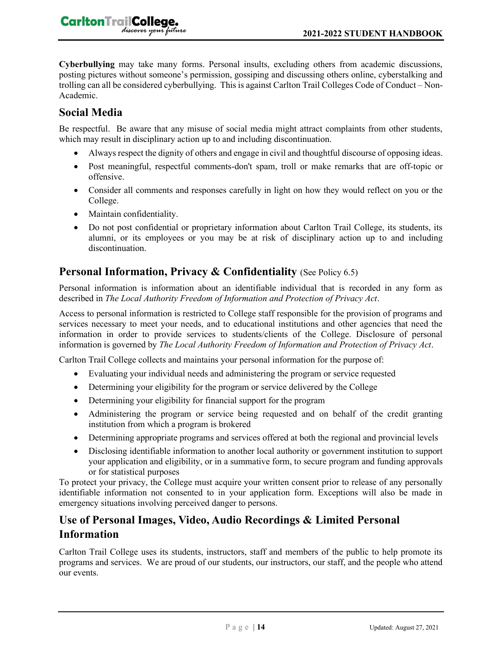**CarltonTrailCollege.** 

**Cyberbullying** may take many forms. Personal insults, excluding others from academic discussions, posting pictures without someone's permission, gossiping and discussing others online, cyberstalking and trolling can all be considered cyberbullying. This is against Carlton Trail Colleges Code of Conduct – Non-Academic.

## **Social Media**

Be respectful. Be aware that any misuse of social media might attract complaints from other students, which may result in disciplinary action up to and including discontinuation.

- Always respect the dignity of others and engage in civil and thoughtful discourse of opposing ideas.
- Post meaningful, respectful comments-don't spam, troll or make remarks that are off-topic or offensive.
- Consider all comments and responses carefully in light on how they would reflect on you or the College.
- Maintain confidentiality.
- Do not post confidential or proprietary information about Carlton Trail College, its students, its alumni, or its employees or you may be at risk of disciplinary action up to and including discontinuation.

## **Personal Information, Privacy & Confidentiality** *(See Policy 6.5)*

Personal information is information about an identifiable individual that is recorded in any form as described in *The Local Authority Freedom of Information and Protection of Privacy Act*.

Access to personal information is restricted to College staff responsible for the provision of programs and services necessary to meet your needs, and to educational institutions and other agencies that need the information in order to provide services to students/clients of the College. Disclosure of personal information is governed by *The Local Authority Freedom of Information and Protection of Privacy Act*.

Carlton Trail College collects and maintains your personal information for the purpose of:

- Evaluating your individual needs and administering the program or service requested
- Determining your eligibility for the program or service delivered by the College
- Determining your eligibility for financial support for the program
- Administering the program or service being requested and on behalf of the credit granting institution from which a program is brokered
- Determining appropriate programs and services offered at both the regional and provincial levels
- Disclosing identifiable information to another local authority or government institution to support your application and eligibility, or in a summative form, to secure program and funding approvals or for statistical purposes

To protect your privacy, the College must acquire your written consent prior to release of any personally identifiable information not consented to in your application form. Exceptions will also be made in emergency situations involving perceived danger to persons.

## **Use of Personal Images, Video, Audio Recordings & Limited Personal Information**

Carlton Trail College uses its students, instructors, staff and members of the public to help promote its programs and services. We are proud of our students, our instructors, our staff, and the people who attend our events.